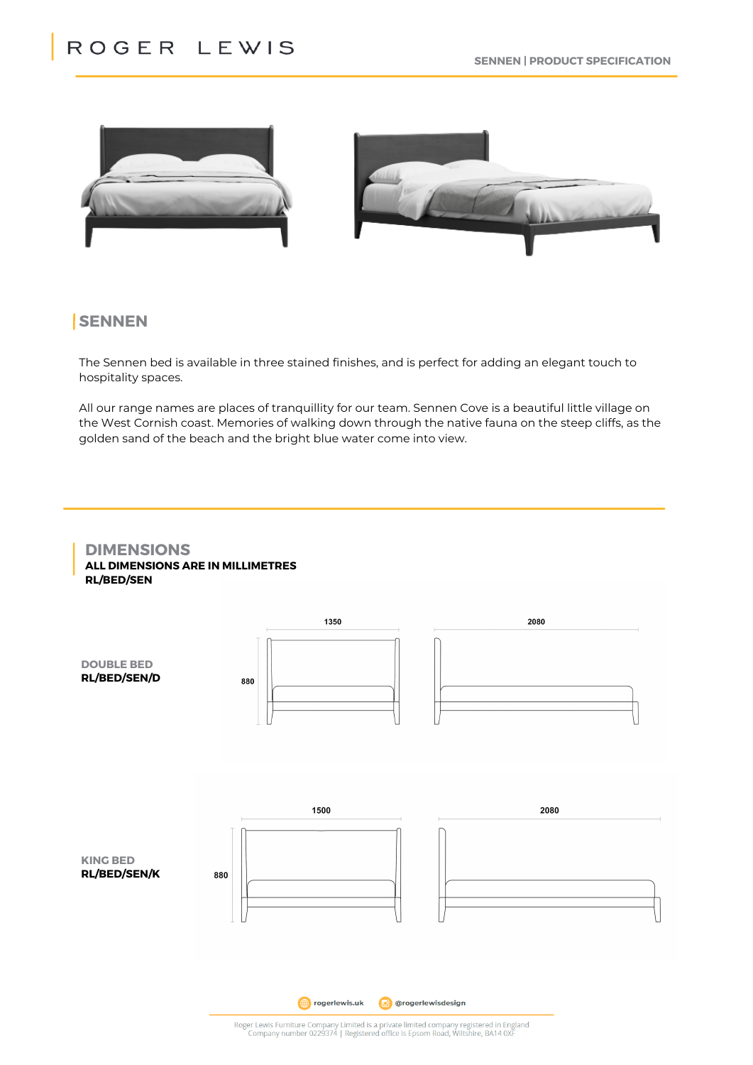



# **SENNEN**

The Sennen bed is available in three stained finishes, and is perfect for adding an elegant touch to hospitality spaces.

All our range names are places of tranquillity for our team. Sennen Cove is a beautiful little village on the West Cornish coast. Memories of walking down through the native fauna on the steep cliffs, as the golden sand of the beach and the bright blue water come into view.